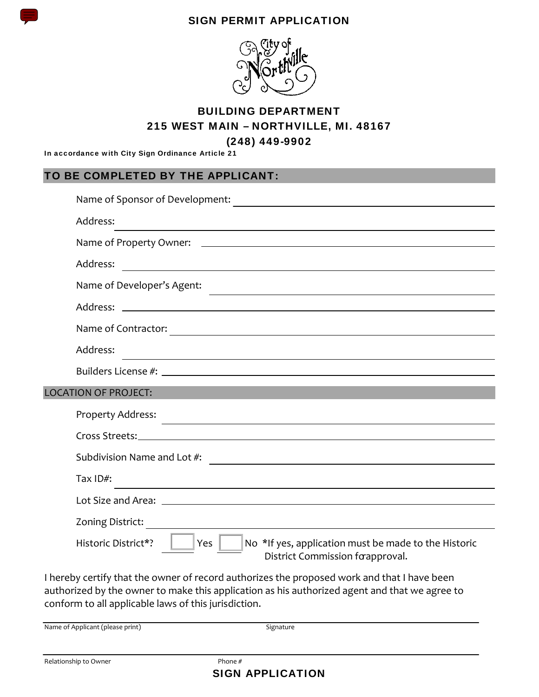### SIGN PERMIT APPLICATION



# BUILDING DEPARTMENT 215 WEST MAIN – NORTHVILLE, MI. 48167

(248) 449-9902

In accordance with City Sign Ordinance Article 21

### TO BE COMPLETED BY THE APPLICANT:

| Name of Sponsor of Development: Name of Sponsor of Development:                                                                                                                                                                                                     |
|---------------------------------------------------------------------------------------------------------------------------------------------------------------------------------------------------------------------------------------------------------------------|
| Address:                                                                                                                                                                                                                                                            |
|                                                                                                                                                                                                                                                                     |
| Address:<br><u> 1989 - Johann Stoff, Amerikaansk politiker († 1908)</u>                                                                                                                                                                                             |
| Name of Developer's Agent:<br><u> 1989 - Johann Barbara, martxa alemaniar argametra (h. 1989).</u>                                                                                                                                                                  |
|                                                                                                                                                                                                                                                                     |
|                                                                                                                                                                                                                                                                     |
| Address:                                                                                                                                                                                                                                                            |
|                                                                                                                                                                                                                                                                     |
| <b>LOCATION OF PROJECT:</b>                                                                                                                                                                                                                                         |
| Property Address:<br><u> 1989 - Johann Stein, fransk politik (d. 1989)</u>                                                                                                                                                                                          |
|                                                                                                                                                                                                                                                                     |
| Subdivision Name and Lot #:<br><u> 1989 - Johann Stoff, deutscher Stoffen und der Stoffen und der Stoffen und der Stoffen und der Stoffen und der Stoffen und der Stoffen und der Stoffen und der Stoffen und der Stoffen und der Stoffen und der Stoffen und d</u> |
| Tax ID#:<br><u> 1989 - Andrea Santa Andrea Santa Andrea Santa Andrea Santa Andrea Santa Andrea Santa Andrea Santa Andrea San</u>                                                                                                                                    |
| Lot Size and Area: University of the Size and Area: University of the Size and Area: University of the Size and                                                                                                                                                     |
| Zoning District:<br><u> 1980 - Johann Barbara, martxa alemaniar arg</u>                                                                                                                                                                                             |
| No *If yes, application must be made to the Historic<br>Historic District*?<br>Yes<br>District Commission forapproval.                                                                                                                                              |
| I hereby certify that the owner of record authorizes the proposed work and that I have been                                                                                                                                                                         |

authorized by the owner to make this application as his authorized agent and that we agree to conform to all applicable laws of this jurisdiction.

Name of Applicant (please print) Signature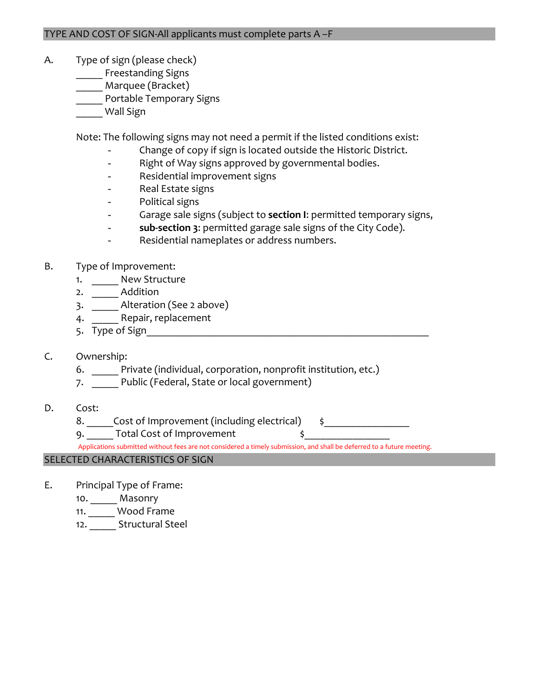#### TYPE AND COST OF SIGN‐All applicants must complete parts A –F

- A. Type of sign (please check)
	- \_\_\_\_\_ Freestanding Signs
	- \_\_\_\_\_ Marquee (Bracket)
	- Portable Temporary Signs
	- \_\_\_\_\_ Wall Sign

Note: The following signs may not need a permit if the listed conditions exist:

- Change of copy if sign is located outside the Historic District.
- Right of Way signs approved by governmental bodies.
- Residential improvement signs
- Real Estate signs
- Political signs
- Garage sale signs (subject to **section I**: permitted temporary signs,
- **sub‐section 3**: permitted garage sale signs of the City Code).
- Residential nameplates or address numbers.

#### B. Type of Improvement:

- 1. New Structure
- 2. \_\_\_\_\_\_ Addition
- 3. \_\_\_\_\_ Alteration (See 2 above)
- 4. \_\_\_\_\_ Repair, replacement
- 5. Type of Sign
- C. Ownership:
	- 6. \_\_\_\_\_ Private (individual, corporation, nonprofit institution, etc.)
	- 7. Public (Federal, State or local government)
- D. Cost:
	- 8. Cost of Improvement (including electrical)  $\frac{1}{2}$

9. Total Cost of Improvement  $\zeta$ 

Applications submitted without fees are not considered a timely submission, and shall be deferred to a future meeting.

### SELECTED CHARACTERISTICS OF SIGN

- E. Principal Type of Frame:
	- 10. \_\_\_\_\_ Masonry
	- 11. Wood Frame
	- 12. \_\_\_\_\_ Structural Steel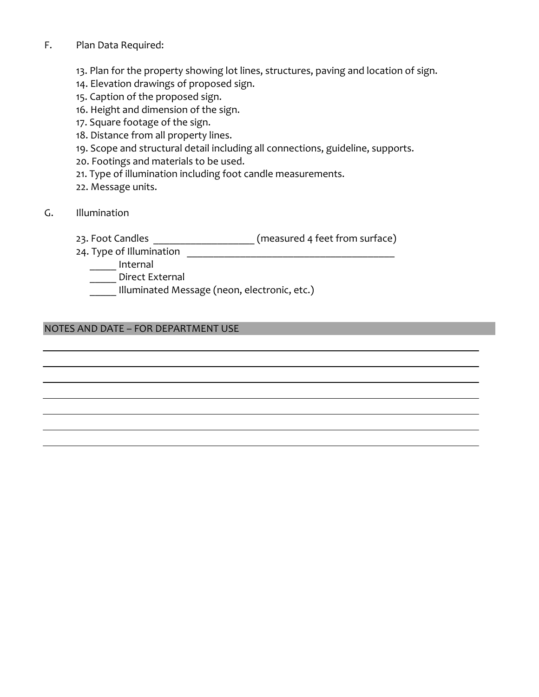#### F. Plan Data Required:

- 13. Plan for the property showing lot lines, structures, paving and location of sign.
- 14. Elevation drawings of proposed sign.
- 15. Caption of the proposed sign.
- 16. Height and dimension of the sign.
- 17. Square footage of the sign.
- 18. Distance from all property lines.
- 19. Scope and structural detail including all connections, guideline, supports.
- 20. Footings and materials to be used.
- 21. Type of illumination including foot candle measurements.
- 22. Message units.
- G. Illumination
	- 23. Foot Candles \_\_\_\_\_\_\_\_\_\_\_\_\_\_\_\_\_\_\_\_(measured 4 feet from surface)
	- 24. Type of Illumination **by the set of the set of the set of the set of the set of the set of the set of the set of the set of the set of the set of the set of the set of the set of the set of the set of the set of the se** 
		- \_\_\_\_\_ Internal
		- \_\_\_\_\_ Direct External
		- Illuminated Message (neon, electronic, etc.)

### NOTES AND DATE – FOR DEPARTMENT USE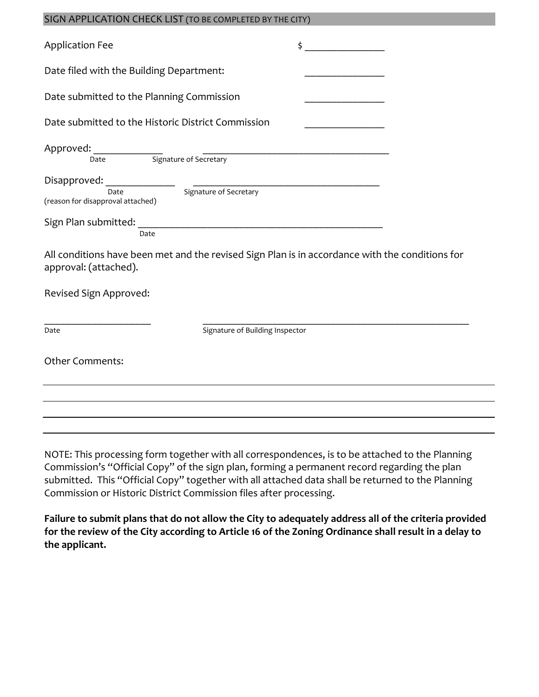#### SIGN APPLICATION CHECK LIST (TO BE COMPLETED BY THE CITY)

| <b>Application Fee</b>                                                                                                   |                                 | \$ |
|--------------------------------------------------------------------------------------------------------------------------|---------------------------------|----|
| Date filed with the Building Department:                                                                                 |                                 |    |
| Date submitted to the Planning Commission                                                                                |                                 |    |
| Date submitted to the Historic District Commission                                                                       |                                 |    |
| Approved:                                                                                                                |                                 |    |
|                                                                                                                          |                                 |    |
|                                                                                                                          |                                 |    |
| (reason for disapproval attached)                                                                                        |                                 |    |
| Date                                                                                                                     |                                 |    |
| All conditions have been met and the revised Sign Plan is in accordance with the conditions for<br>approval: (attached). |                                 |    |
| Revised Sign Approved:                                                                                                   |                                 |    |
| Date                                                                                                                     | Signature of Building Inspector |    |
| <b>Other Comments:</b>                                                                                                   |                                 |    |
|                                                                                                                          |                                 |    |
|                                                                                                                          |                                 |    |

NOTE: This processing form together with all correspondences, is to be attached to the Planning Commission's "Official Copy" of the sign plan, forming a permanent record regarding the plan submitted. This "Official Copy" together with all attached data shall be returned to the Planning Commission or Historic District Commission files after processing.

Failure to submit plans that do not allow the City to adequately address all of the criteria provided for the review of the City according to Article 16 of the Zoning Ordinance shall result in a delay to **the applicant.**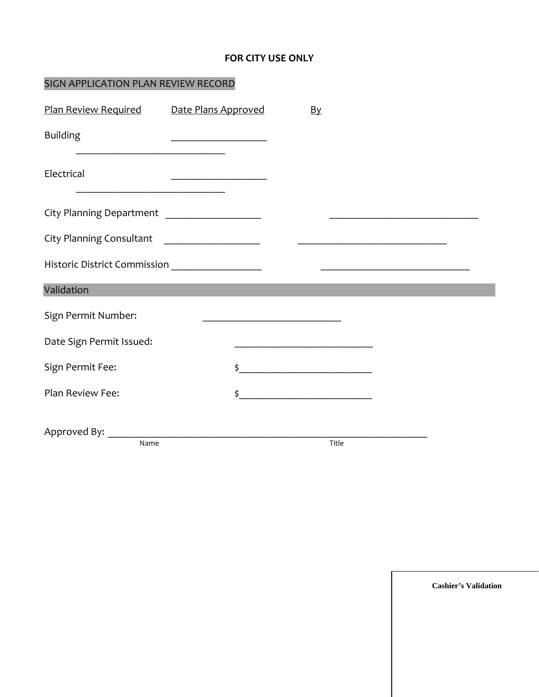## **FOR CITY USE ONLY**

## SIGN APPLICATION PLAN REVIEW RECORD

| Plan Review Required                           | Date Plans Approved | By    |  |
|------------------------------------------------|---------------------|-------|--|
| <b>Building</b>                                |                     |       |  |
| Electrical                                     |                     |       |  |
| City Planning Department ____________________  |                     |       |  |
|                                                |                     |       |  |
| Historic District Commission _________________ |                     |       |  |
| Validation                                     |                     |       |  |
| Sign Permit Number:                            |                     |       |  |
| Date Sign Permit Issued:                       |                     |       |  |
| Sign Permit Fee:                               | \$                  |       |  |
| Plan Review Fee:                               | \$                  |       |  |
| Approved By:<br>Name                           |                     | Title |  |
|                                                |                     |       |  |

**Cashier's Validation**